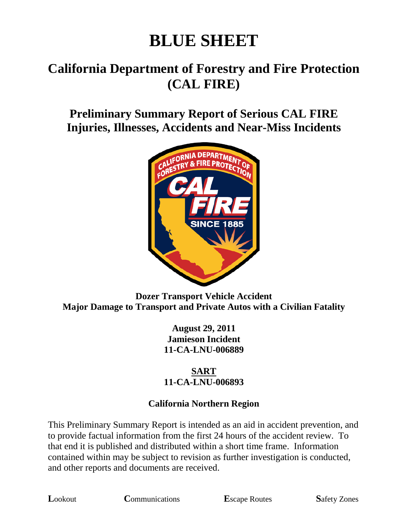# **BLUE SHEET**

## **California Department of Forestry and Fire Protection (CAL FIRE)**

### **Preliminary Summary Report of Serious CAL FIRE Injuries, Illnesses, Accidents and Near-Miss Incidents**



#### **Dozer Transport Vehicle Accident Major Damage to Transport and Private Autos with a Civilian Fatality**

**August 29, 2011 Jamieson Incident 11-CA-LNU-006889**

#### **SART 11-CA-LNU-006893**

#### **California Northern Region**

This Preliminary Summary Report is intended as an aid in accident prevention, and to provide factual information from the first 24 hours of the accident review. To that end it is published and distributed within a short time frame. Information contained within may be subject to revision as further investigation is conducted, and other reports and documents are received.

**L**ookout **C**ommunications **E**scape Routes **S**afety Zones